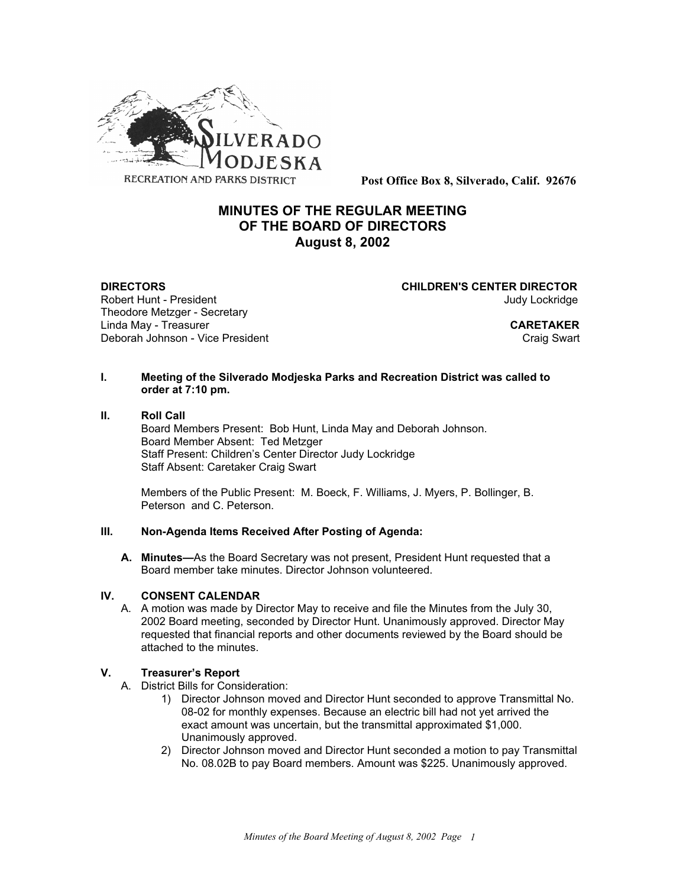

**Post Office Box 8, Silverado, Calif. 92676**

# **MINUTES OF THE REGULAR MEETING OF THE BOARD OF DIRECTORS August 8, 2002**

Theodore Metzger - Secretary Linda May - Treasurer **CARETAKER** Deborah Johnson - Vice President Craig Swart Craig Swart Craig Swart

**DIRECTORS CHILDREN'S CENTER DIRECTOR** Robert Hunt - President Judy Lockridge

### **I. Meeting of the Silverado Modjeska Parks and Recreation District was called to order at 7:10 pm.**

### **II. Roll Call**

Board Members Present: Bob Hunt, Linda May and Deborah Johnson. Board Member Absent: Ted Metzger Staff Present: Children's Center Director Judy Lockridge Staff Absent: Caretaker Craig Swart

Members of the Public Present: M. Boeck, F. Williams, J. Myers, P. Bollinger, B. Peterson and C. Peterson.

# **III. Non-Agenda Items Received After Posting of Agenda:**

**A. Minutes—**As the Board Secretary was not present, President Hunt requested that a Board member take minutes. Director Johnson volunteered.

### **IV. CONSENT CALENDAR**

A. A motion was made by Director May to receive and file the Minutes from the July 30, 2002 Board meeting, seconded by Director Hunt. Unanimously approved. Director May requested that financial reports and other documents reviewed by the Board should be attached to the minutes.

### **V. Treasurer's Report**

- A. District Bills for Consideration:
	- 1) Director Johnson moved and Director Hunt seconded to approve Transmittal No. 08-02 for monthly expenses. Because an electric bill had not yet arrived the exact amount was uncertain, but the transmittal approximated \$1,000. Unanimously approved.
	- 2) Director Johnson moved and Director Hunt seconded a motion to pay Transmittal No. 08.02B to pay Board members. Amount was \$225. Unanimously approved.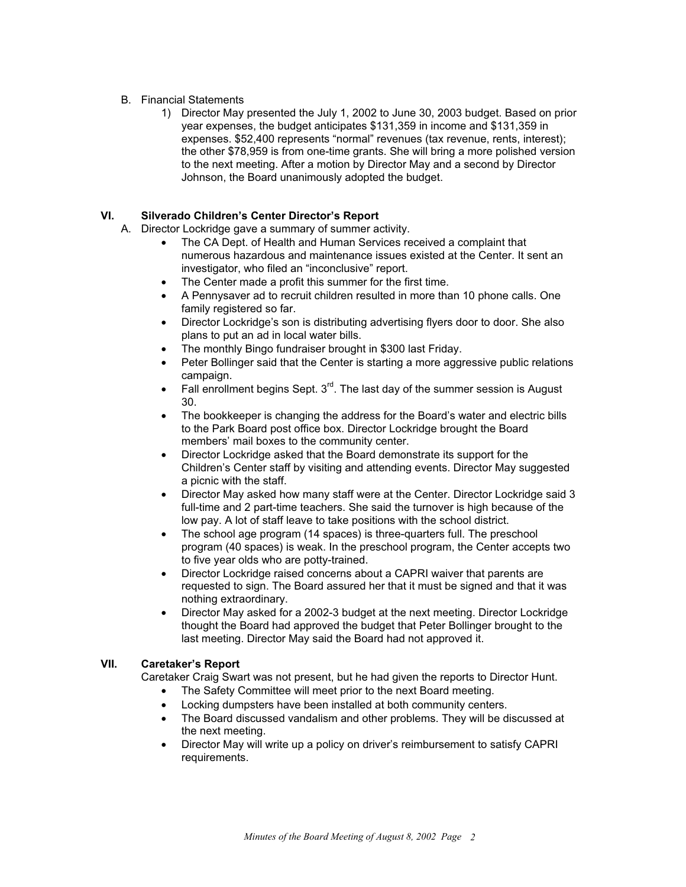### B. Financial Statements

1) Director May presented the July 1, 2002 to June 30, 2003 budget. Based on prior year expenses, the budget anticipates \$131,359 in income and \$131,359 in expenses. \$52,400 represents "normal" revenues (tax revenue, rents, interest); the other \$78,959 is from one-time grants. She will bring a more polished version to the next meeting. After a motion by Director May and a second by Director Johnson, the Board unanimously adopted the budget.

# **VI. Silverado Children's Center Director's Report**

- A. Director Lockridge gave a summary of summer activity.
	- The CA Dept. of Health and Human Services received a complaint that numerous hazardous and maintenance issues existed at the Center. It sent an investigator, who filed an "inconclusive" report.
	- The Center made a profit this summer for the first time.
	- A Pennysaver ad to recruit children resulted in more than 10 phone calls. One family registered so far.
	- Director Lockridge's son is distributing advertising flyers door to door. She also plans to put an ad in local water bills.
	- The monthly Bingo fundraiser brought in \$300 last Friday.
	- Peter Bollinger said that the Center is starting a more aggressive public relations campaign.
	- Fall enrollment begins Sept.  $3<sup>rd</sup>$ . The last day of the summer session is August 30.
	- The bookkeeper is changing the address for the Board's water and electric bills to the Park Board post office box. Director Lockridge brought the Board members' mail boxes to the community center.
	- Director Lockridge asked that the Board demonstrate its support for the Children's Center staff by visiting and attending events. Director May suggested a picnic with the staff.
	- Director May asked how many staff were at the Center. Director Lockridge said 3 full-time and 2 part-time teachers. She said the turnover is high because of the low pay. A lot of staff leave to take positions with the school district.
	- The school age program (14 spaces) is three-quarters full. The preschool program (40 spaces) is weak. In the preschool program, the Center accepts two to five year olds who are potty-trained.
	- Director Lockridge raised concerns about a CAPRI waiver that parents are requested to sign. The Board assured her that it must be signed and that it was nothing extraordinary.
	- Director May asked for a 2002-3 budget at the next meeting. Director Lockridge thought the Board had approved the budget that Peter Bollinger brought to the last meeting. Director May said the Board had not approved it.

# **VII. Caretaker's Report**

Caretaker Craig Swart was not present, but he had given the reports to Director Hunt.

- The Safety Committee will meet prior to the next Board meeting.
- Locking dumpsters have been installed at both community centers.
- The Board discussed vandalism and other problems. They will be discussed at the next meeting.
- Director May will write up a policy on driver's reimbursement to satisfy CAPRI requirements.